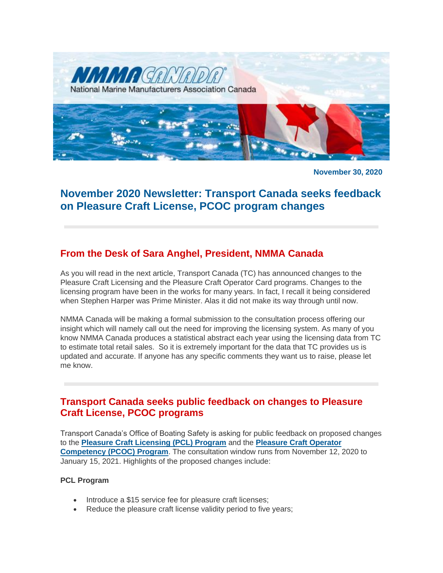

**November 30, 2020**

# **November 2020 Newsletter: Transport Canada seeks feedback on Pleasure Craft License, PCOC program changes**

### **From the Desk of Sara Anghel, President, NMMA Canada**

As you will read in the next article, Transport Canada (TC) has announced changes to the Pleasure Craft Licensing and the Pleasure Craft Operator Card programs. Changes to the licensing program have been in the works for many years. In fact, I recall it being considered when Stephen Harper was Prime Minister. Alas it did not make its way through until now.

NMMA Canada will be making a formal submission to the consultation process offering our insight which will namely call out the need for improving the licensing system. As many of you know NMMA Canada produces a statistical abstract each year using the licensing data from TC to estimate total retail sales. So it is extremely important for the data that TC provides us is updated and accurate. If anyone has any specific comments they want us to raise, please let me know.

#### **Transport Canada seeks public feedback on changes to Pleasure Craft License, PCOC programs**

Transport Canada's Office of Boating Safety is asking for public feedback on proposed changes to the **[Pleasure Craft Licensing \(PCL\) Program](https://letstalktransportation.ca/pcl)** and the **[Pleasure Craft Operator](https://letstalktransportation.ca/pcoc)  [Competency \(PCOC\) Program](https://letstalktransportation.ca/pcoc)**. The consultation window runs from November 12, 2020 to January 15, 2021. Highlights of the proposed changes include:

#### **PCL Program**

- Introduce a \$15 service fee for pleasure craft licenses;
- Reduce the pleasure craft license validity period to five years;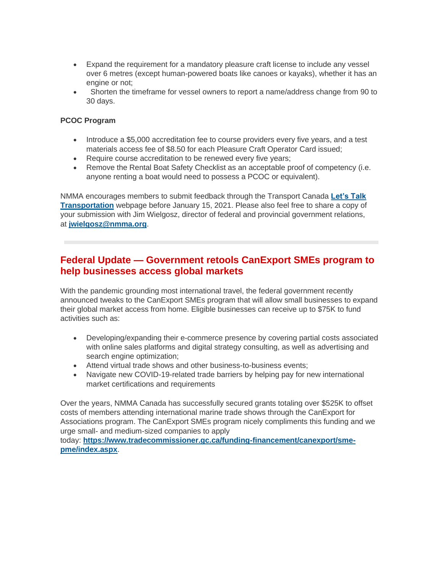- Expand the requirement for a mandatory pleasure craft license to include any vessel over 6 metres (except human-powered boats like canoes or kayaks), whether it has an engine or not;
- Shorten the timeframe for vessel owners to report a name/address change from 90 to 30 days.

#### **PCOC Program**

- Introduce a \$5,000 accreditation fee to course providers every five years, and a test materials access fee of \$8.50 for each Pleasure Craft Operator Card issued;
- Require course accreditation to be renewed every five years;
- Remove the Rental Boat Safety Checklist as an acceptable proof of competency (i.e. anyone renting a boat would need to possess a PCOC or equivalent).

NMMA encourages members to submit feedback through the Transport Canada **[Let's Talk](https://letstalktransportation.ca/mss)  [Transportation](https://letstalktransportation.ca/mss)** webpage before January 15, 2021. Please also feel free to share a copy of your submission with Jim Wielgosz, director of federal and provincial government relations, at **[jwielgosz@nmma.org](mailto:jwielgosz@nmma.org)**.

#### **Federal Update — Government retools CanExport SMEs program to help businesses access global markets**

With the pandemic grounding most international travel, the federal government recently announced tweaks to the CanExport SMEs program that will allow small businesses to expand their global market access from home. Eligible businesses can receive up to \$75K to fund activities such as:

- Developing/expanding their e-commerce presence by covering partial costs associated with online sales platforms and digital strategy consulting, as well as advertising and search engine optimization;
- Attend virtual trade shows and other business-to-business events;
- Navigate new COVID-19-related trade barriers by helping pay for new international market certifications and requirements

Over the years, NMMA Canada has successfully secured grants totaling over \$525K to offset costs of members attending international marine trade shows through the CanExport for Associations program. The CanExport SMEs program nicely compliments this funding and we urge small- and medium-sized companies to apply

today: **[https://www.tradecommissioner.gc.ca/funding-financement/canexport/sme](https://www.tradecommissioner.gc.ca/funding-financement/canexport/sme-pme/index.aspx)[pme/index.aspx](https://www.tradecommissioner.gc.ca/funding-financement/canexport/sme-pme/index.aspx)**.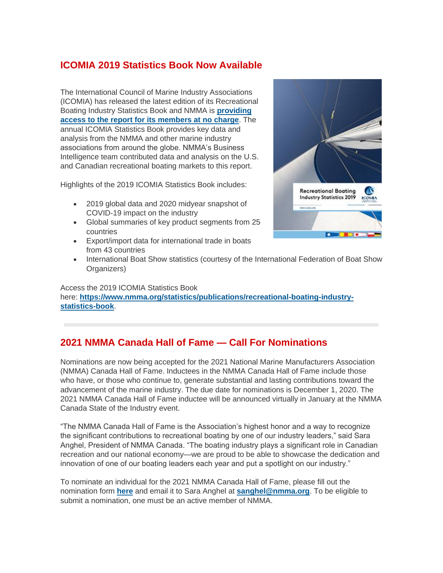### **ICOMIA 2019 Statistics Book Now Available**

The International Council of Marine Industry Associations (ICOMIA) has released the latest edition of its Recreational Boating Industry Statistics Book and NMMA is **[providing](https://www.nmma.org/statistics/publications/recreational-boating-industry-statistics-book)  [access to the report for its members at no charge](https://www.nmma.org/statistics/publications/recreational-boating-industry-statistics-book)**. The annual ICOMIA Statistics Book provides key data and analysis from the NMMA and other marine industry associations from around the globe. NMMA's Business Intelligence team contributed data and analysis on the U.S. and Canadian recreational boating markets to this report.

Highlights of the 2019 ICOMIA Statistics Book includes:

- 2019 global data and 2020 midyear snapshot of COVID-19 impact on the industry
- Global summaries of key product segments from 25 countries
- Export/import data for international trade in boats from 43 countries
- International Boat Show statistics (courtesy of the International Federation of Boat Show Organizers)

Access the 2019 ICOMIA Statistics Book here: **[https://www.nmma.org/statistics/publications/recreational-boating-industry](https://www.nmma.org/statistics/publications/recreational-boating-industry-statistics-book)[statistics-book](https://www.nmma.org/statistics/publications/recreational-boating-industry-statistics-book)**.

#### **2021 NMMA Canada Hall of Fame — Call For Nominations**

Nominations are now being accepted for the 2021 National Marine Manufacturers Association (NMMA) Canada Hall of Fame. Inductees in the NMMA Canada Hall of Fame include those who have, or those who continue to, generate substantial and lasting contributions toward the advancement of the marine industry. The due date for nominations is December 1, 2020. The 2021 NMMA Canada Hall of Fame inductee will be announced virtually in January at the NMMA Canada State of the Industry event.

"The NMMA Canada Hall of Fame is the Association's highest honor and a way to recognize the significant contributions to recreational boating by one of our industry leaders," said Sara Anghel, President of NMMA Canada. "The boating industry plays a significant role in Canadian recreation and our national economy—we are proud to be able to showcase the dedication and innovation of one of our boating leaders each year and put a spotlight on our industry."

To nominate an individual for the 2021 NMMA Canada Hall of Fame, please fill out the nomination form **[here](http://nmma.net/assets/cabinets/Cabinet486/Hall%20of%20Fame%20Application%20Canada%202020-21.pdf)** and email it to Sara Anghel at **[sanghel@nmma.org](mailto:sanghel@nmma.org)**. To be eligible to submit a nomination, one must be an active member of NMMA.

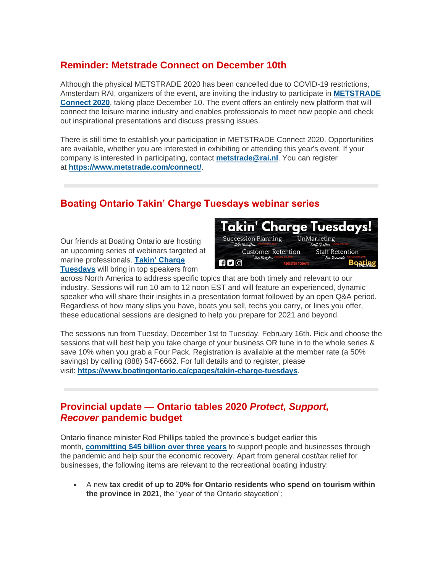### **Reminder: Metstrade Connect on December 10th**

Although the physical METSTRADE 2020 has been cancelled due to COVID-19 restrictions, Amsterdam RAI, organizers of the event, are inviting the industry to participate in **[METSTRADE](https://www.metstrade.com/)  [Connect 2020](https://www.metstrade.com/)**, taking place December 10. The event offers an entirely new platform that will connect the leisure marine industry and enables professionals to meet new people and check out inspirational presentations and discuss pressing issues.

There is still time to establish your participation in METSTRADE Connect 2020. Opportunities are available, whether you are interested in exhibiting or attending this year's event. If your company is interested in participating, contact **[metstrade@rai.nl](mailto:metstrade@rai.nl)**. You can register at **<https://www.metstrade.com/connect/>**.

## **Boating Ontario Takin' Charge Tuesdays webinar series**

Our friends at Boating Ontario are hosting an upcoming series of webinars targeted at marine professionals. **[Takin' Charge](http://www.boatingontario.ca/cpages/takin-charge-tuesdays)  [Tuesdays](http://www.boatingontario.ca/cpages/takin-charge-tuesdays)** will bring in top speakers from



across North America to address specific topics that are both timely and relevant to our industry. Sessions will run 10 am to 12 noon EST and will feature an experienced, dynamic speaker who will share their insights in a presentation format followed by an open Q&A period. Regardless of how many slips you have, boats you sell, techs you carry, or lines you offer, these educational sessions are designed to help you prepare for 2021 and beyond.

The sessions run from Tuesday, December 1st to Tuesday, February 16th. Pick and choose the sessions that will best help you take charge of your business OR tune in to the whole series & save 10% when you grab a Four Pack. Registration is available at the member rate (a 50% savings) by calling (888) 547-6662. For full details and to register, please visit: **<https://www.boatingontario.ca/cpages/takin-charge-tuesdays>**.

#### **Provincial update — Ontario tables 2020** *Protect, Support, Recover* **pandemic budget**

Ontario finance minister Rod Phillips tabled the province's budget earlier this month, **[committing \\$45 billion over three years](https://news.ontario.ca/en/release/59065/ontarios-action-plan-protect-support-recover)** to support people and businesses through the pandemic and help spur the economic recovery. Apart from general cost/tax relief for businesses, the following items are relevant to the recreational boating industry:

• A new **tax credit of up to 20% for Ontario residents who spend on tourism within the province in 2021**, the "year of the Ontario staycation";